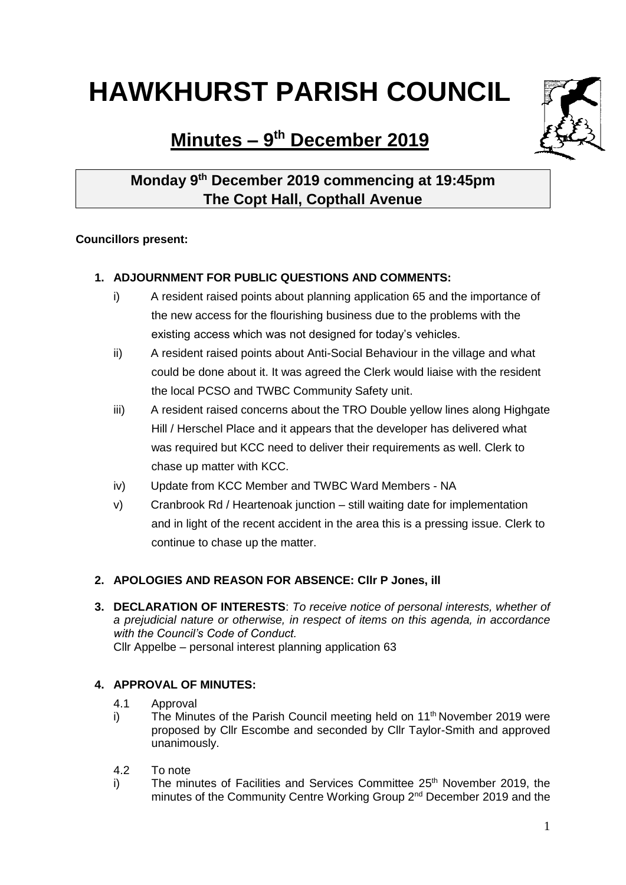# **HAWKHURST PARISH COUNCIL**

**Minutes – 9 th December 2019**



## **Monday 9th December 2019 commencing at 19:45pm The Copt Hall, Copthall Avenue**

#### **Councillors present:**

### **1. ADJOURNMENT FOR PUBLIC QUESTIONS AND COMMENTS:**

- i) A resident raised points about planning application 65 and the importance of the new access for the flourishing business due to the problems with the existing access which was not designed for today's vehicles.
- ii) A resident raised points about Anti-Social Behaviour in the village and what could be done about it. It was agreed the Clerk would liaise with the resident the local PCSO and TWBC Community Safety unit.
- iii) A resident raised concerns about the TRO Double yellow lines along Highgate Hill / Herschel Place and it appears that the developer has delivered what was required but KCC need to deliver their requirements as well. Clerk to chase up matter with KCC.
- iv) Update from KCC Member and TWBC Ward Members NA
- v) Cranbrook Rd / Heartenoak junction still waiting date for implementation and in light of the recent accident in the area this is a pressing issue. Clerk to continue to chase up the matter.

#### **2. APOLOGIES AND REASON FOR ABSENCE: Cllr P Jones, ill**

**3. DECLARATION OF INTERESTS**: *To receive notice of personal interests, whether of a prejudicial nature or otherwise, in respect of items on this agenda, in accordance with the Council's Code of Conduct.* Cllr Appelbe – personal interest planning application 63

#### **4. APPROVAL OF MINUTES:**

- 4.1 Approval
- i) The Minutes of the Parish Council meeting held on  $11<sup>th</sup>$  November 2019 were proposed by Cllr Escombe and seconded by Cllr Taylor-Smith and approved unanimously.
- 4.2 To note
- i) The minutes of Facilities and Services Committee 25<sup>th</sup> November 2019, the minutes of the Community Centre Working Group 2<sup>nd</sup> December 2019 and the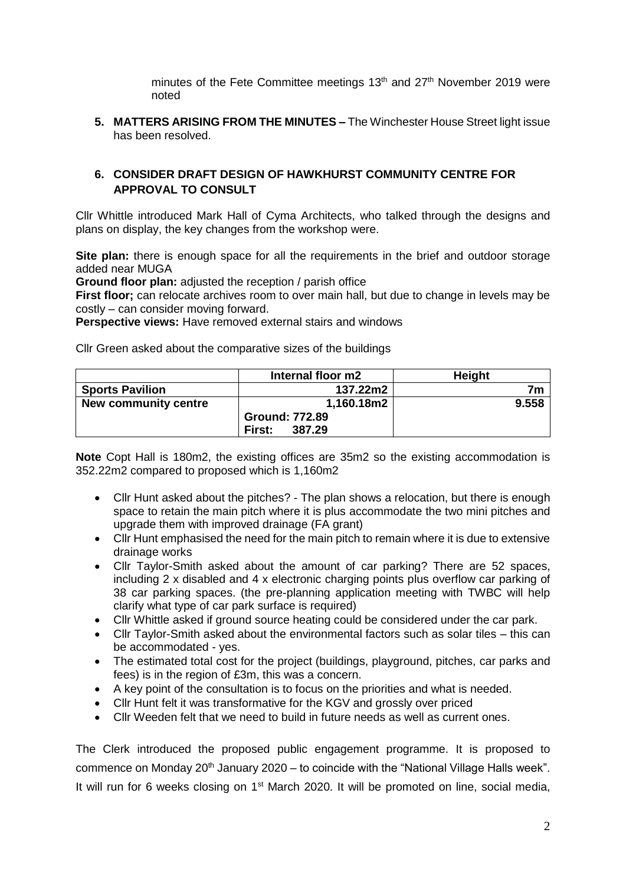minutes of the Fete Committee meetings 13<sup>th</sup> and 27<sup>th</sup> November 2019 were noted

**5. MATTERS ARISING FROM THE MINUTES –** The Winchester House Street light issue has been resolved.

#### **6. CONSIDER DRAFT DESIGN OF HAWKHURST COMMUNITY CENTRE FOR APPROVAL TO CONSULT**

Cllr Whittle introduced Mark Hall of Cyma Architects, who talked through the designs and plans on display, the key changes from the workshop were.

**Site plan:** there is enough space for all the requirements in the brief and outdoor storage added near MUGA

**Ground floor plan:** adjusted the reception / parish office

**First floor;** can relocate archives room to over main hall, but due to change in levels may be costly – can consider moving forward.

**Perspective views:** Have removed external stairs and windows

Cllr Green asked about the comparative sizes of the buildings

|                        | Internal floor m2     | <b>Height</b>  |
|------------------------|-----------------------|----------------|
| <b>Sports Pavilion</b> | 137.22m2              | 7 <sub>m</sub> |
| New community centre   | 1,160.18m2            | 9.558          |
|                        | <b>Ground: 772.89</b> |                |
|                        | 387.29<br>First:      |                |

**Note** Copt Hall is 180m2, the existing offices are 35m2 so the existing accommodation is 352.22m2 compared to proposed which is 1,160m2

- Cllr Hunt asked about the pitches? The plan shows a relocation, but there is enough space to retain the main pitch where it is plus accommodate the two mini pitches and upgrade them with improved drainage (FA grant)
- Cllr Hunt emphasised the need for the main pitch to remain where it is due to extensive drainage works
- Cllr Taylor-Smith asked about the amount of car parking? There are 52 spaces, including 2 x disabled and 4 x electronic charging points plus overflow car parking of 38 car parking spaces. (the pre-planning application meeting with TWBC will help clarify what type of car park surface is required)
- Cllr Whittle asked if ground source heating could be considered under the car park.
- Cllr Taylor-Smith asked about the environmental factors such as solar tiles this can be accommodated - yes.
- The estimated total cost for the project (buildings, playground, pitches, car parks and fees) is in the region of £3m, this was a concern.
- A key point of the consultation is to focus on the priorities and what is needed.
- Cllr Hunt felt it was transformative for the KGV and grossly over priced
- Cllr Weeden felt that we need to build in future needs as well as current ones.

The Clerk introduced the proposed public engagement programme. It is proposed to commence on Monday 20<sup>th</sup> January 2020 – to coincide with the "National Village Halls week". It will run for 6 weeks closing on 1<sup>st</sup> March 2020. It will be promoted on line, social media,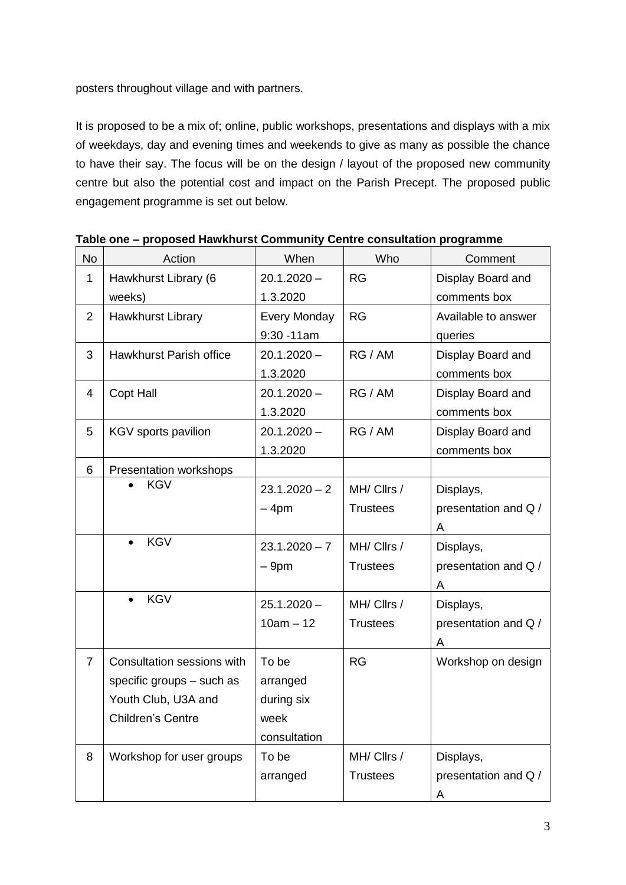posters throughout village and with partners.

It is proposed to be a mix of; online, public workshops, presentations and displays with a mix of weekdays, day and evening times and weekends to give as many as possible the chance to have their say. The focus will be on the design / layout of the proposed new community centre but also the potential cost and impact on the Parish Precept. The proposed public engagement programme is set out below.

| <b>No</b>      | Action                     | When                | Who             | Comment              |
|----------------|----------------------------|---------------------|-----------------|----------------------|
| 1              | Hawkhurst Library (6       | $20.1.2020 -$       | <b>RG</b>       | Display Board and    |
|                | weeks)                     | 1.3.2020            |                 | comments box         |
| $\overline{2}$ | Hawkhurst Library          | <b>Every Monday</b> | RG              | Available to answer  |
|                |                            | $9:30 - 11$ am      |                 | queries              |
| 3              | Hawkhurst Parish office    | $20.1.2020 -$       | RG / AM         | Display Board and    |
|                |                            | 1.3.2020            |                 | comments box         |
| 4              | <b>Copt Hall</b>           | $20.1.2020 -$       | RG / AM         | Display Board and    |
|                |                            | 1.3.2020            |                 | comments box         |
| 5              | KGV sports pavilion        | $20.1.2020 -$       | RG / AM         | Display Board and    |
|                |                            | 1.3.2020            |                 | comments box         |
| 6              | Presentation workshops     |                     |                 |                      |
|                | <b>KGV</b>                 | $23.1.2020 - 2$     | MH/ Cllrs /     | Displays,            |
|                |                            | $-4pm$              | <b>Trustees</b> | presentation and Q / |
|                |                            |                     |                 | A                    |
|                | <b>KGV</b>                 | $23.1.2020 - 7$     | MH/ Cllrs /     | Displays,            |
|                |                            | $-9pm$              | <b>Trustees</b> | presentation and Q / |
|                |                            |                     |                 | A                    |
|                | <b>KGV</b>                 | $25.1.2020 -$       | MH/ Cllrs /     | Displays,            |
|                |                            | $10am - 12$         | <b>Trustees</b> | presentation and Q / |
|                |                            |                     |                 | A                    |
| $\overline{7}$ | Consultation sessions with | To be               | <b>RG</b>       | Workshop on design   |
|                | specific groups - such as  | arranged            |                 |                      |
|                | Youth Club, U3A and        | during six          |                 |                      |
|                | Children's Centre          | week                |                 |                      |
|                |                            | consultation        |                 |                      |
| 8              | Workshop for user groups   | To be               | MH/ Cllrs /     | Displays,            |
|                |                            | arranged            | <b>Trustees</b> | presentation and Q / |
|                |                            |                     |                 | A                    |

**Table one – proposed Hawkhurst Community Centre consultation programme**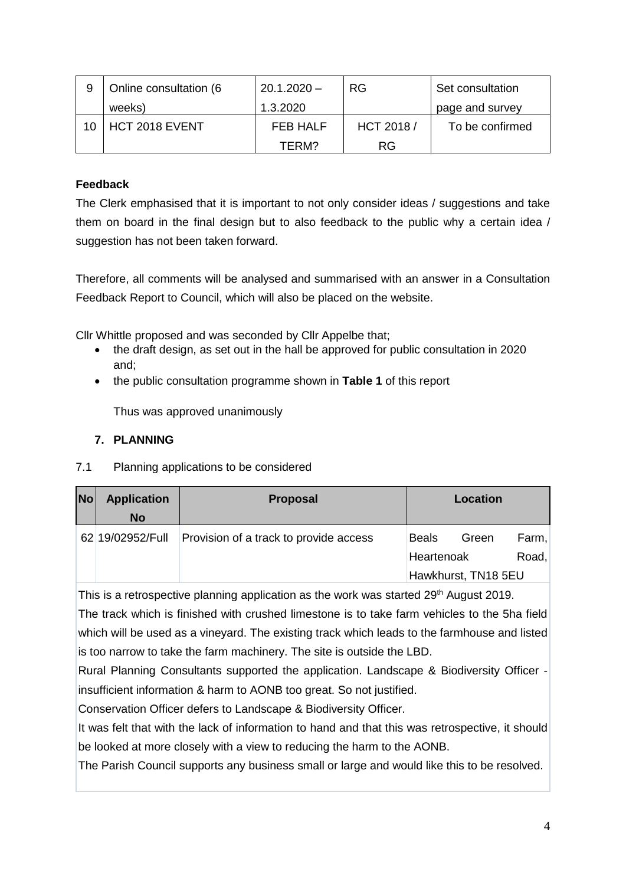| Online consultation (6 | $20.1.2020 -$ | <b>RG</b>  | Set consultation |
|------------------------|---------------|------------|------------------|
| weeks)                 | 1.3.2020      |            | page and survey  |
| HCT 2018 EVENT         | FEB HALF      | HCT 2018 / | To be confirmed  |
|                        | TFRM?         | <b>RG</b>  |                  |

#### **Feedback**

The Clerk emphasised that it is important to not only consider ideas / suggestions and take them on board in the final design but to also feedback to the public why a certain idea / suggestion has not been taken forward.

Therefore, all comments will be analysed and summarised with an answer in a Consultation Feedback Report to Council, which will also be placed on the website.

Cllr Whittle proposed and was seconded by Cllr Appelbe that;

- the draft design, as set out in the hall be approved for public consultation in 2020 and;
- the public consultation programme shown in **Table 1** of this report

Thus was approved unanimously

#### **7. PLANNING**

7.1 Planning applications to be considered

| <b>No</b> | <b>Application</b> | <b>Proposal</b>                        | Location     |                     |       |
|-----------|--------------------|----------------------------------------|--------------|---------------------|-------|
|           | <b>No</b>          |                                        |              |                     |       |
|           | 62 19/02952/Full   | Provision of a track to provide access | <b>Beals</b> | Green               | Farm, |
|           |                    |                                        | Heartenoak   |                     | Road, |
|           |                    |                                        |              | Hawkhurst, TN18 5EU |       |

This is a retrospective planning application as the work was started 29<sup>th</sup> August 2019.

The track which is finished with crushed limestone is to take farm vehicles to the 5ha field which will be used as a vineyard. The existing track which leads to the farmhouse and listed is too narrow to take the farm machinery. The site is outside the LBD.

Rural Planning Consultants supported the application. Landscape & Biodiversity Officer insufficient information & harm to AONB too great. So not justified.

Conservation Officer defers to Landscape & Biodiversity Officer.

It was felt that with the lack of information to hand and that this was retrospective, it should be looked at more closely with a view to reducing the harm to the AONB.

The Parish Council supports any business small or large and would like this to be resolved.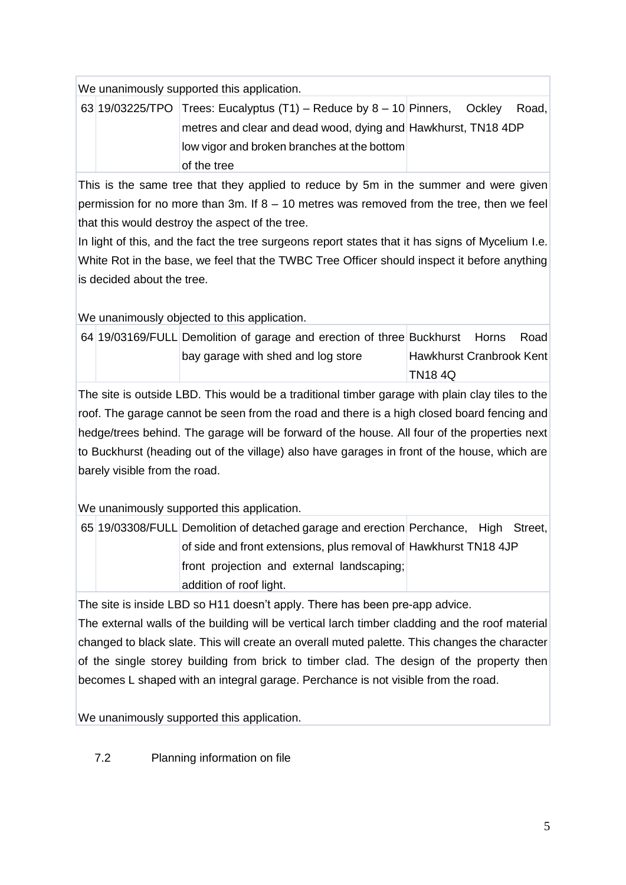We unanimously supported this application.

|  | 63 19/03225/TPO Trees: Eucalyptus $(T1)$ – Reduce by 8 – 10 Pinners, Ockley Road, |  |  |
|--|-----------------------------------------------------------------------------------|--|--|
|  | metres and clear and dead wood, dying and Hawkhurst, TN18 4DP                     |  |  |
|  | low vigor and broken branches at the bottom                                       |  |  |
|  | of the tree                                                                       |  |  |

This is the same tree that they applied to reduce by 5m in the summer and were given permission for no more than 3m. If 8 – 10 metres was removed from the tree, then we feel that this would destroy the aspect of the tree.

In light of this, and the fact the tree surgeons report states that it has signs of Mycelium I.e. White Rot in the base, we feel that the TWBC Tree Officer should inspect it before anything is decided about the tree.

We unanimously objected to this application.

|  | 64 19/03169/FULL Demolition of garage and erection of three Buckhurst Horns |                          | Road |
|--|-----------------------------------------------------------------------------|--------------------------|------|
|  | bay garage with shed and log store                                          | Hawkhurst Cranbrook Kent |      |
|  |                                                                             | TN18 4Q                  |      |

The site is outside LBD. This would be a traditional timber garage with plain clay tiles to the roof. The garage cannot be seen from the road and there is a high closed board fencing and hedge/trees behind. The garage will be forward of the house. All four of the properties next to Buckhurst (heading out of the village) also have garages in front of the house, which are barely visible from the road.

We unanimously supported this application.

65 19/03308/FULL Demolition of detached garage and erection Perchance, High Street, of side and front extensions, plus removal of Hawkhurst TN18 4JP front projection and external landscaping; addition of roof light.

The site is inside LBD so H11 doesn't apply. There has been pre-app advice.

The external walls of the building will be vertical larch timber cladding and the roof material changed to black slate. This will create an overall muted palette. This changes the character of the single storey building from brick to timber clad. The design of the property then becomes L shaped with an integral garage. Perchance is not visible from the road.

We unanimously supported this application.

7.2 Planning information on file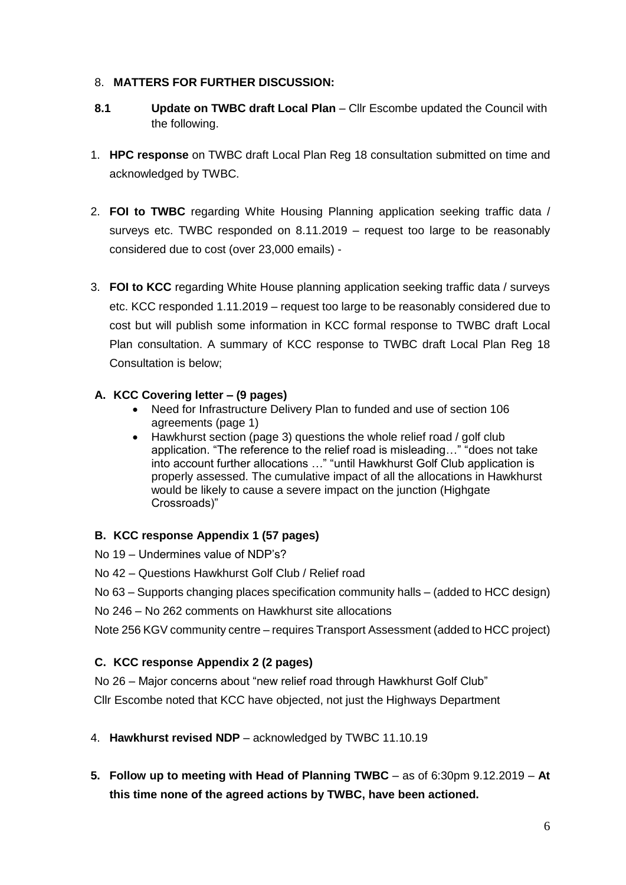#### 8. **MATTERS FOR FURTHER DISCUSSION:**

- **8.1 Update on TWBC draft Local Plan** Cllr Escombe updated the Council with the following.
- 1. **HPC response** on TWBC draft Local Plan Reg 18 consultation submitted on time and acknowledged by TWBC.
- 2. **FOI to TWBC** regarding White Housing Planning application seeking traffic data / surveys etc. TWBC responded on 8.11.2019 – request too large to be reasonably considered due to cost (over 23,000 emails) -
- 3. **FOI to KCC** regarding White House planning application seeking traffic data / surveys etc. KCC responded 1.11.2019 – request too large to be reasonably considered due to cost but will publish some information in KCC formal response to TWBC draft Local Plan consultation. A summary of KCC response to TWBC draft Local Plan Reg 18 Consultation is below;

#### **A. KCC Covering letter – (9 pages)**

- Need for Infrastructure Delivery Plan to funded and use of section 106 agreements (page 1)
- Hawkhurst section (page 3) questions the whole relief road / golf club application. "The reference to the relief road is misleading…" "does not take into account further allocations …" "until Hawkhurst Golf Club application is properly assessed. The cumulative impact of all the allocations in Hawkhurst would be likely to cause a severe impact on the junction (Highgate Crossroads)"

#### **B. KCC response Appendix 1 (57 pages)**

- No 19 Undermines value of NDP's?
- No 42 Questions Hawkhurst Golf Club / Relief road

No 63 – Supports changing places specification community halls – (added to HCC design)

No 246 – No 262 comments on Hawkhurst site allocations

Note 256 KGV community centre – requires Transport Assessment (added to HCC project)

#### **C. KCC response Appendix 2 (2 pages)**

No 26 – Major concerns about "new relief road through Hawkhurst Golf Club" Cllr Escombe noted that KCC have objected, not just the Highways Department

- 4. **Hawkhurst revised NDP** acknowledged by TWBC 11.10.19
- **5. Follow up to meeting with Head of Planning TWBC** as of 6:30pm 9.12.2019 **At this time none of the agreed actions by TWBC, have been actioned.**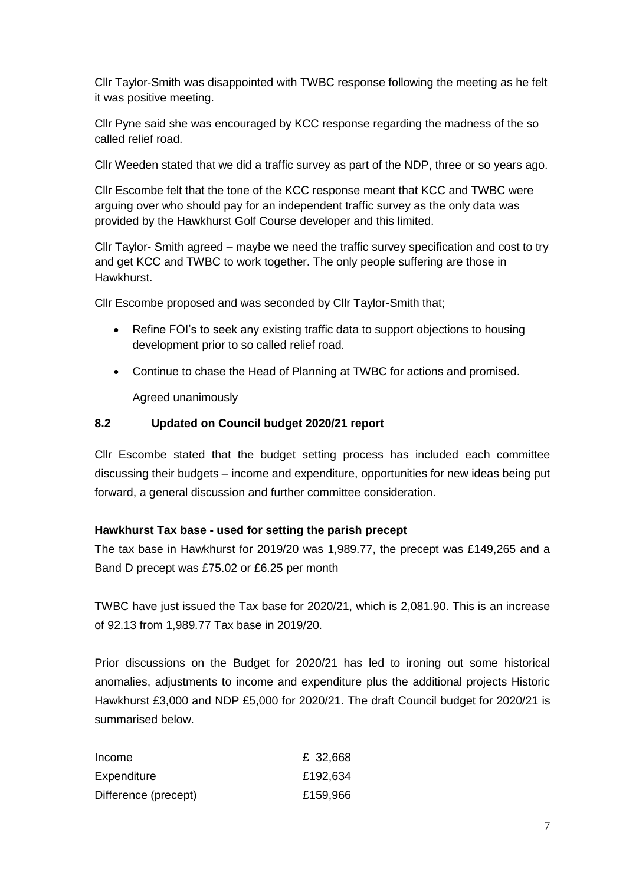Cllr Taylor-Smith was disappointed with TWBC response following the meeting as he felt it was positive meeting.

Cllr Pyne said she was encouraged by KCC response regarding the madness of the so called relief road.

Cllr Weeden stated that we did a traffic survey as part of the NDP, three or so years ago.

Cllr Escombe felt that the tone of the KCC response meant that KCC and TWBC were arguing over who should pay for an independent traffic survey as the only data was provided by the Hawkhurst Golf Course developer and this limited.

Cllr Taylor- Smith agreed – maybe we need the traffic survey specification and cost to try and get KCC and TWBC to work together. The only people suffering are those in Hawkhurst.

Cllr Escombe proposed and was seconded by Cllr Taylor-Smith that;

- Refine FOI's to seek any existing traffic data to support objections to housing development prior to so called relief road.
- Continue to chase the Head of Planning at TWBC for actions and promised.

Agreed unanimously

#### **8.2 Updated on Council budget 2020/21 report**

Cllr Escombe stated that the budget setting process has included each committee discussing their budgets – income and expenditure, opportunities for new ideas being put forward, a general discussion and further committee consideration.

#### **Hawkhurst Tax base - used for setting the parish precept**

The tax base in Hawkhurst for 2019/20 was 1,989.77, the precept was £149,265 and a Band D precept was £75.02 or £6.25 per month

TWBC have just issued the Tax base for 2020/21, which is 2,081.90. This is an increase of 92.13 from 1,989.77 Tax base in 2019/20.

Prior discussions on the Budget for 2020/21 has led to ironing out some historical anomalies, adjustments to income and expenditure plus the additional projects Historic Hawkhurst £3,000 and NDP £5,000 for 2020/21. The draft Council budget for 2020/21 is summarised below.

| Income               | £ 32,668 |
|----------------------|----------|
| Expenditure          | £192,634 |
| Difference (precept) | £159,966 |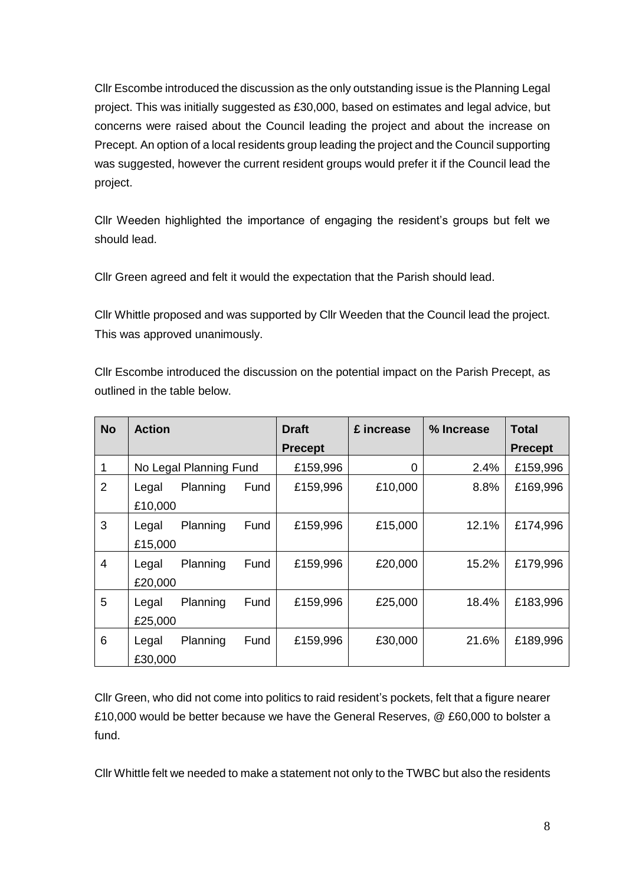Cllr Escombe introduced the discussion as the only outstanding issue is the Planning Legal project. This was initially suggested as £30,000, based on estimates and legal advice, but concerns were raised about the Council leading the project and about the increase on Precept. An option of a local residents group leading the project and the Council supporting was suggested, however the current resident groups would prefer it if the Council lead the project.

Cllr Weeden highlighted the importance of engaging the resident's groups but felt we should lead.

Cllr Green agreed and felt it would the expectation that the Parish should lead.

Cllr Whittle proposed and was supported by Cllr Weeden that the Council lead the project. This was approved unanimously.

Cllr Escombe introduced the discussion on the potential impact on the Parish Precept, as outlined in the table below.

| <b>No</b>      | <b>Action</b>    |                        |      | <b>Draft</b>   | £ increase | % Increase | <b>Total</b>   |
|----------------|------------------|------------------------|------|----------------|------------|------------|----------------|
|                |                  |                        |      | <b>Precept</b> |            |            | <b>Precept</b> |
| 1              |                  | No Legal Planning Fund |      | £159,996       | 0          | 2.4%       | £159,996       |
| $\overline{2}$ | Legal<br>£10,000 | Planning               | Fund | £159,996       | £10,000    | 8.8%       | £169,996       |
| 3              | Legal<br>£15,000 | Planning               | Fund | £159,996       | £15,000    | 12.1%      | £174,996       |
| 4              | Legal<br>£20,000 | Planning               | Fund | £159,996       | £20,000    | 15.2%      | £179,996       |
| 5              | Legal<br>£25,000 | Planning               | Fund | £159,996       | £25,000    | 18.4%      | £183,996       |
| 6              | Legal<br>£30,000 | Planning               | Fund | £159,996       | £30,000    | 21.6%      | £189,996       |

Cllr Green, who did not come into politics to raid resident's pockets, felt that a figure nearer £10,000 would be better because we have the General Reserves, @ £60,000 to bolster a fund.

Cllr Whittle felt we needed to make a statement not only to the TWBC but also the residents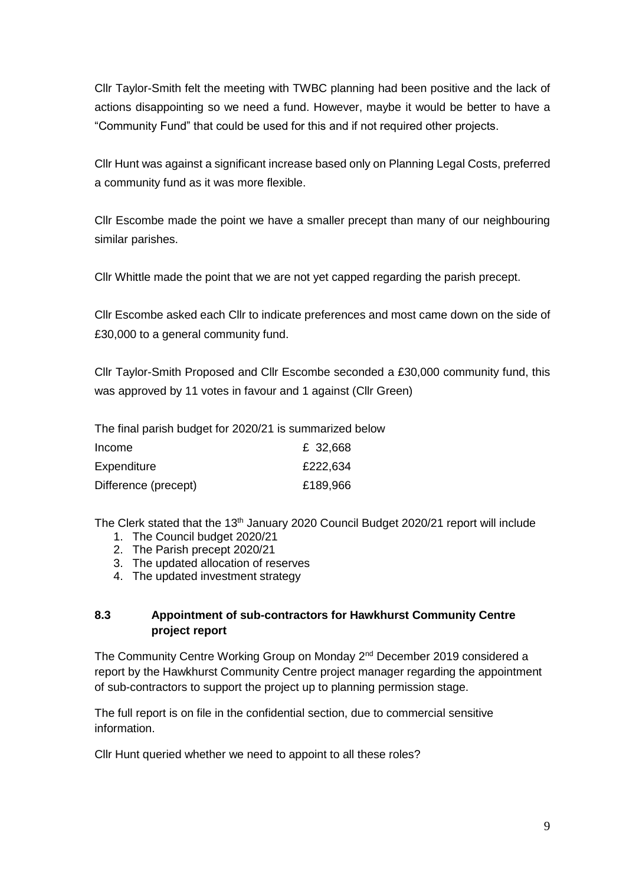Cllr Taylor-Smith felt the meeting with TWBC planning had been positive and the lack of actions disappointing so we need a fund. However, maybe it would be better to have a "Community Fund" that could be used for this and if not required other projects.

Cllr Hunt was against a significant increase based only on Planning Legal Costs, preferred a community fund as it was more flexible.

Cllr Escombe made the point we have a smaller precept than many of our neighbouring similar parishes.

Cllr Whittle made the point that we are not yet capped regarding the parish precept.

Cllr Escombe asked each Cllr to indicate preferences and most came down on the side of £30,000 to a general community fund.

Cllr Taylor-Smith Proposed and Cllr Escombe seconded a £30,000 community fund, this was approved by 11 votes in favour and 1 against (Cllr Green)

The final parish budget for 2020/21 is summarized below

| Income               | £ 32,668 |
|----------------------|----------|
| Expenditure          | £222,634 |
| Difference (precept) | £189,966 |

The Clerk stated that the 13<sup>th</sup> January 2020 Council Budget 2020/21 report will include

- 1. The Council budget 2020/21
- 2. The Parish precept 2020/21
- 3. The updated allocation of reserves
- 4. The updated investment strategy

#### **8.3 Appointment of sub-contractors for Hawkhurst Community Centre project report**

The Community Centre Working Group on Monday 2<sup>nd</sup> December 2019 considered a report by the Hawkhurst Community Centre project manager regarding the appointment of sub-contractors to support the project up to planning permission stage.

The full report is on file in the confidential section, due to commercial sensitive information.

Cllr Hunt queried whether we need to appoint to all these roles?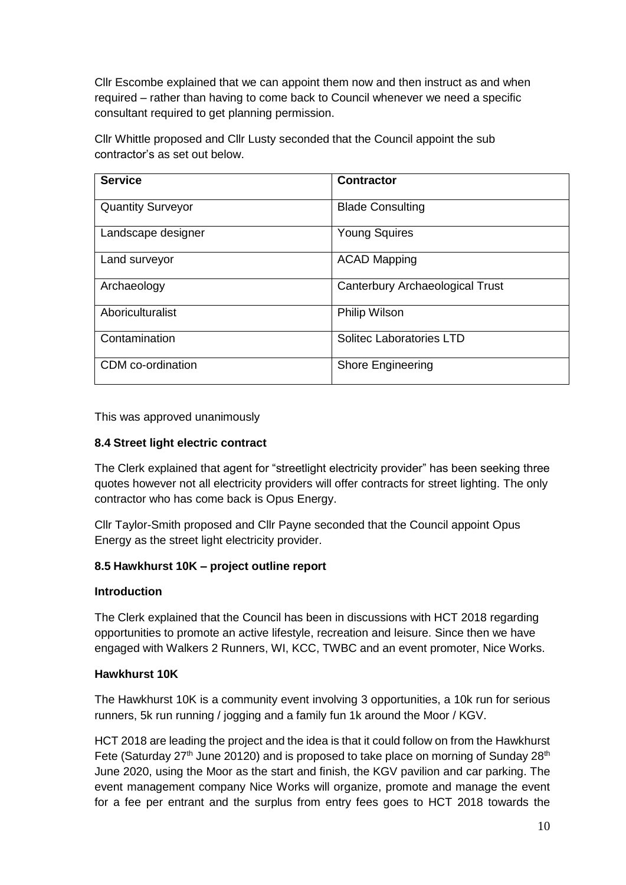Cllr Escombe explained that we can appoint them now and then instruct as and when required – rather than having to come back to Council whenever we need a specific consultant required to get planning permission.

Cllr Whittle proposed and Cllr Lusty seconded that the Council appoint the sub contractor's as set out below.

| <b>Service</b>           | <b>Contractor</b>               |
|--------------------------|---------------------------------|
| <b>Quantity Surveyor</b> | <b>Blade Consulting</b>         |
| Landscape designer       | <b>Young Squires</b>            |
| Land surveyor            | <b>ACAD Mapping</b>             |
| Archaeology              | Canterbury Archaeological Trust |
| Aboriculturalist         | <b>Philip Wilson</b>            |
| Contamination            | <b>Solitec Laboratories LTD</b> |
| CDM co-ordination        | <b>Shore Engineering</b>        |

This was approved unanimously

#### **8.4 Street light electric contract**

The Clerk explained that agent for "streetlight electricity provider" has been seeking three quotes however not all electricity providers will offer contracts for street lighting. The only contractor who has come back is Opus Energy.

Cllr Taylor-Smith proposed and Cllr Payne seconded that the Council appoint Opus Energy as the street light electricity provider.

#### **8.5 Hawkhurst 10K – project outline report**

#### **Introduction**

The Clerk explained that the Council has been in discussions with HCT 2018 regarding opportunities to promote an active lifestyle, recreation and leisure. Since then we have engaged with Walkers 2 Runners, WI, KCC, TWBC and an event promoter, Nice Works.

#### **Hawkhurst 10K**

The Hawkhurst 10K is a community event involving 3 opportunities, a 10k run for serious runners, 5k run running / jogging and a family fun 1k around the Moor / KGV.

HCT 2018 are leading the project and the idea is that it could follow on from the Hawkhurst Fete (Saturday  $27<sup>th</sup>$  June 20120) and is proposed to take place on morning of Sunday  $28<sup>th</sup>$ June 2020, using the Moor as the start and finish, the KGV pavilion and car parking. The event management company Nice Works will organize, promote and manage the event for a fee per entrant and the surplus from entry fees goes to HCT 2018 towards the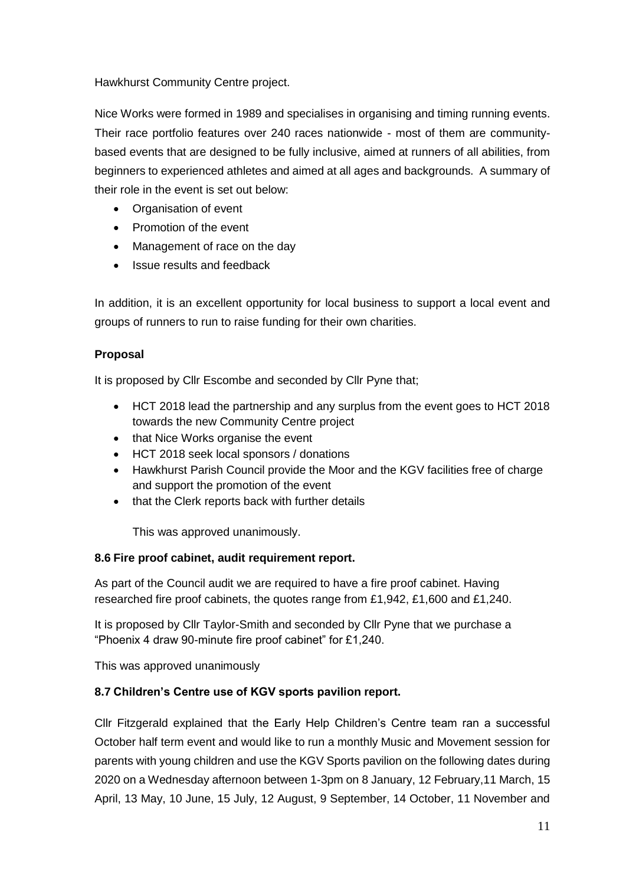Hawkhurst Community Centre project.

Nice Works were formed in 1989 and specialises in organising and timing running events. Their race portfolio features over 240 races nationwide - most of them are communitybased events that are designed to be fully inclusive, aimed at runners of all abilities, from beginners to experienced athletes and aimed at all ages and backgrounds. A summary of their role in the event is set out below:

- Organisation of event
- Promotion of the event
- Management of race on the day
- Issue results and feedback

In addition, it is an excellent opportunity for local business to support a local event and groups of runners to run to raise funding for their own charities.

#### **Proposal**

It is proposed by Cllr Escombe and seconded by Cllr Pyne that;

- HCT 2018 lead the partnership and any surplus from the event goes to HCT 2018 towards the new Community Centre project
- that Nice Works organise the event
- HCT 2018 seek local sponsors / donations
- Hawkhurst Parish Council provide the Moor and the KGV facilities free of charge and support the promotion of the event
- that the Clerk reports back with further details

This was approved unanimously.

#### **8.6 Fire proof cabinet, audit requirement report.**

As part of the Council audit we are required to have a fire proof cabinet. Having researched fire proof cabinets, the quotes range from £1,942, £1,600 and £1,240.

It is proposed by Cllr Taylor-Smith and seconded by Cllr Pyne that we purchase a "Phoenix 4 draw 90-minute fire proof cabinet" for £1,240.

This was approved unanimously

#### **8.7 Children's Centre use of KGV sports pavilion report.**

Cllr Fitzgerald explained that the Early Help Children's Centre team ran a successful October half term event and would like to run a monthly Music and Movement session for parents with young children and use the KGV Sports pavilion on the following dates during 2020 on a Wednesday afternoon between 1-3pm on 8 January, 12 February,11 March, 15 April, 13 May, 10 June, 15 July, 12 August, 9 September, 14 October, 11 November and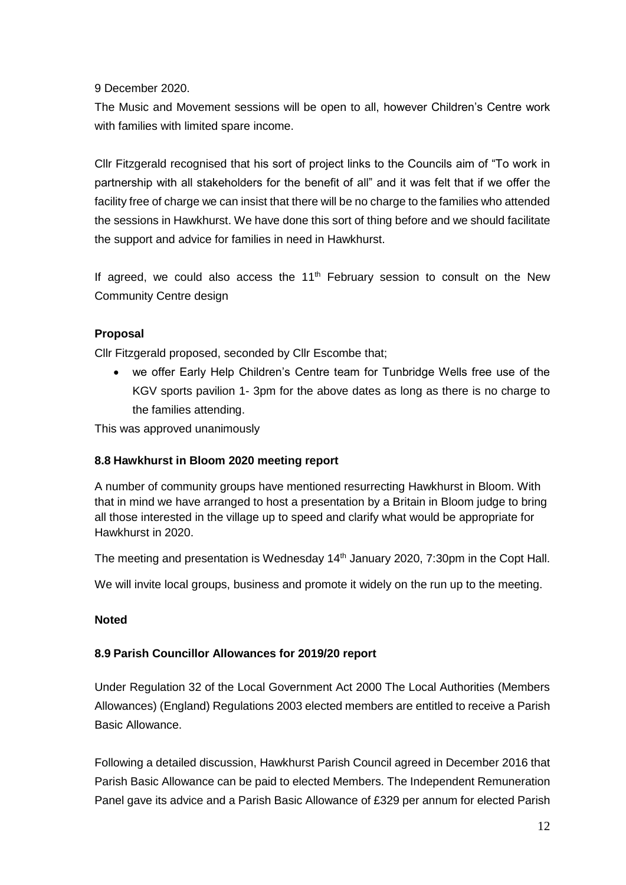#### 9 December 2020.

The Music and Movement sessions will be open to all, however Children's Centre work with families with limited spare income.

Cllr Fitzgerald recognised that his sort of project links to the Councils aim of "To work in partnership with all stakeholders for the benefit of all" and it was felt that if we offer the facility free of charge we can insist that there will be no charge to the families who attended the sessions in Hawkhurst. We have done this sort of thing before and we should facilitate the support and advice for families in need in Hawkhurst.

If agreed, we could also access the  $11<sup>th</sup>$  February session to consult on the New Community Centre design

#### **Proposal**

Cllr Fitzgerald proposed, seconded by Cllr Escombe that;

 we offer Early Help Children's Centre team for Tunbridge Wells free use of the KGV sports pavilion 1- 3pm for the above dates as long as there is no charge to the families attending.

This was approved unanimously

#### **8.8 Hawkhurst in Bloom 2020 meeting report**

A number of community groups have mentioned resurrecting Hawkhurst in Bloom. With that in mind we have arranged to host a presentation by a Britain in Bloom judge to bring all those interested in the village up to speed and clarify what would be appropriate for Hawkhurst in 2020.

The meeting and presentation is Wednesday  $14<sup>th</sup>$  January 2020, 7:30pm in the Copt Hall.

We will invite local groups, business and promote it widely on the run up to the meeting.

#### **Noted**

#### **8.9 Parish Councillor Allowances for 2019/20 report**

Under Regulation 32 of the Local Government Act 2000 The Local Authorities (Members Allowances) (England) Regulations 2003 elected members are entitled to receive a Parish Basic Allowance.

Following a detailed discussion, Hawkhurst Parish Council agreed in December 2016 that Parish Basic Allowance can be paid to elected Members. The Independent Remuneration Panel gave its advice and a Parish Basic Allowance of £329 per annum for elected Parish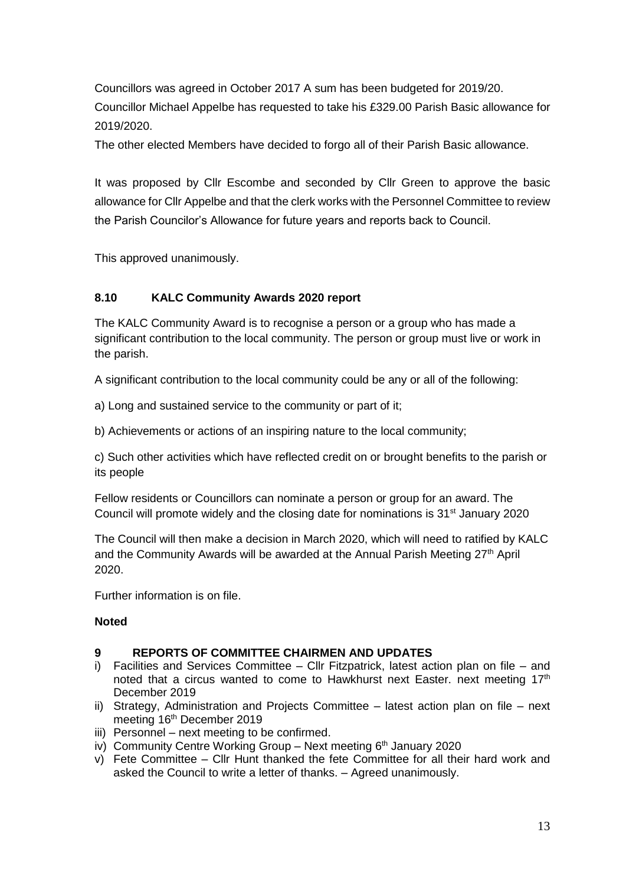Councillors was agreed in October 2017 A sum has been budgeted for 2019/20. Councillor Michael Appelbe has requested to take his £329.00 Parish Basic allowance for 2019/2020.

The other elected Members have decided to forgo all of their Parish Basic allowance.

It was proposed by Cllr Escombe and seconded by Cllr Green to approve the basic allowance for Cllr Appelbe and that the clerk works with the Personnel Committee to review the Parish Councilor's Allowance for future years and reports back to Council.

This approved unanimously.

#### **8.10 KALC Community Awards 2020 report**

The KALC Community Award is to recognise a person or a group who has made a significant contribution to the local community. The person or group must live or work in the parish.

A significant contribution to the local community could be any or all of the following:

a) Long and sustained service to the community or part of it;

b) Achievements or actions of an inspiring nature to the local community;

c) Such other activities which have reflected credit on or brought benefits to the parish or its people

Fellow residents or Councillors can nominate a person or group for an award. The Council will promote widely and the closing date for nominations is  $31<sup>st</sup>$  January 2020

The Council will then make a decision in March 2020, which will need to ratified by KALC and the Community Awards will be awarded at the Annual Parish Meeting  $27<sup>th</sup>$  April 2020.

Further information is on file.

#### **Noted**

#### **9 REPORTS OF COMMITTEE CHAIRMEN AND UPDATES**

- i) Facilities and Services Committee Cllr Fitzpatrick, latest action plan on file and noted that a circus wanted to come to Hawkhurst next Easter. next meeting  $17<sup>th</sup>$ December 2019
- ii) Strategy, Administration and Projects Committee latest action plan on file next meeting 16<sup>th</sup> December 2019
- iii) Personnel next meeting to be confirmed.
- iv) Community Centre Working Group Next meeting 6<sup>th</sup> January 2020
- v) Fete Committee Cllr Hunt thanked the fete Committee for all their hard work and asked the Council to write a letter of thanks. – Agreed unanimously.